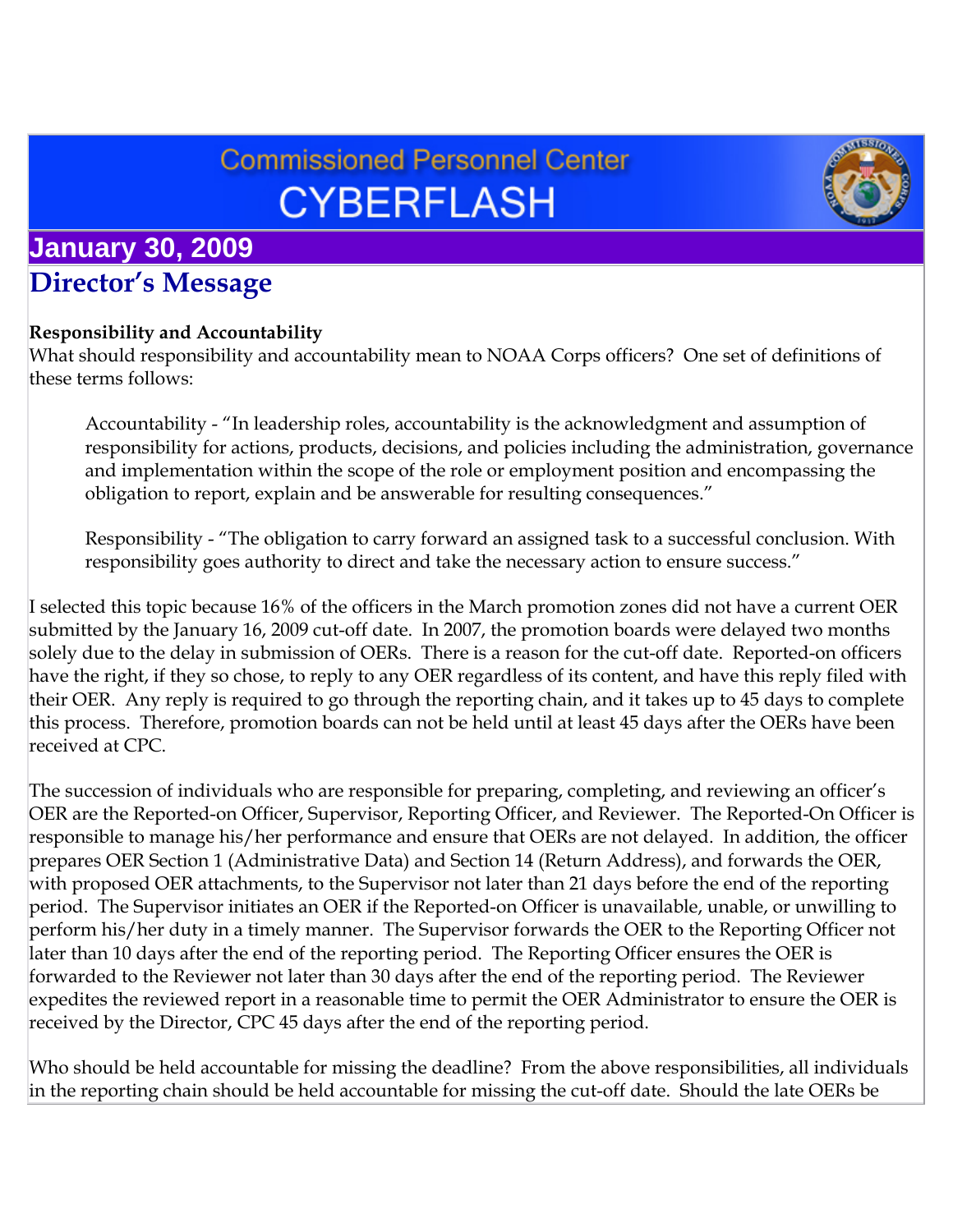# **Commissioned Personnel Center CYBERFLASH**



# **January 30, 2009 Director's Message**

#### **Responsibility and Accountability**

What should responsibility and accountability mean to NOAA Corps officers? One set of definitions of these terms follows:

Accountability - "In leadership roles, accountability is the acknowledgment and assumption of responsibility for actions, products, decisions, and policies including the administration, governance and implementation within the scope of the role or employment position and encompassing the obligation to report, explain and be answerable for resulting consequences."

Responsibility - "The obligation to carry forward an assigned task to a successful conclusion. With responsibility goes authority to direct and take the necessary action to ensure success."

I selected this topic because 16% of the officers in the March promotion zones did not have a current OER submitted by the January 16, 2009 cut-off date. In 2007, the promotion boards were delayed two months solely due to the delay in submission of OERs. There is a reason for the cut-off date. Reported-on officers have the right, if they so chose, to reply to any OER regardless of its content, and have this reply filed with their OER. Any reply is required to go through the reporting chain, and it takes up to 45 days to complete this process. Therefore, promotion boards can not be held until at least 45 days after the OERs have been received at CPC.

The succession of individuals who are responsible for preparing, completing, and reviewing an officer's OER are the Reported-on Officer, Supervisor, Reporting Officer, and Reviewer. The Reported-On Officer is responsible to manage his/her performance and ensure that OERs are not delayed. In addition, the officer prepares OER Section 1 (Administrative Data) and Section 14 (Return Address), and forwards the OER, with proposed OER attachments, to the Supervisor not later than 21 days before the end of the reporting period. The Supervisor initiates an OER if the Reported-on Officer is unavailable, unable, or unwilling to perform his/her duty in a timely manner. The Supervisor forwards the OER to the Reporting Officer not later than 10 days after the end of the reporting period. The Reporting Officer ensures the OER is forwarded to the Reviewer not later than 30 days after the end of the reporting period. The Reviewer expedites the reviewed report in a reasonable time to permit the OER Administrator to ensure the OER is received by the Director, CPC 45 days after the end of the reporting period.

Who should be held accountable for missing the deadline? From the above responsibilities, all individuals in the reporting chain should be held accountable for missing the cut-off date. Should the late OERs be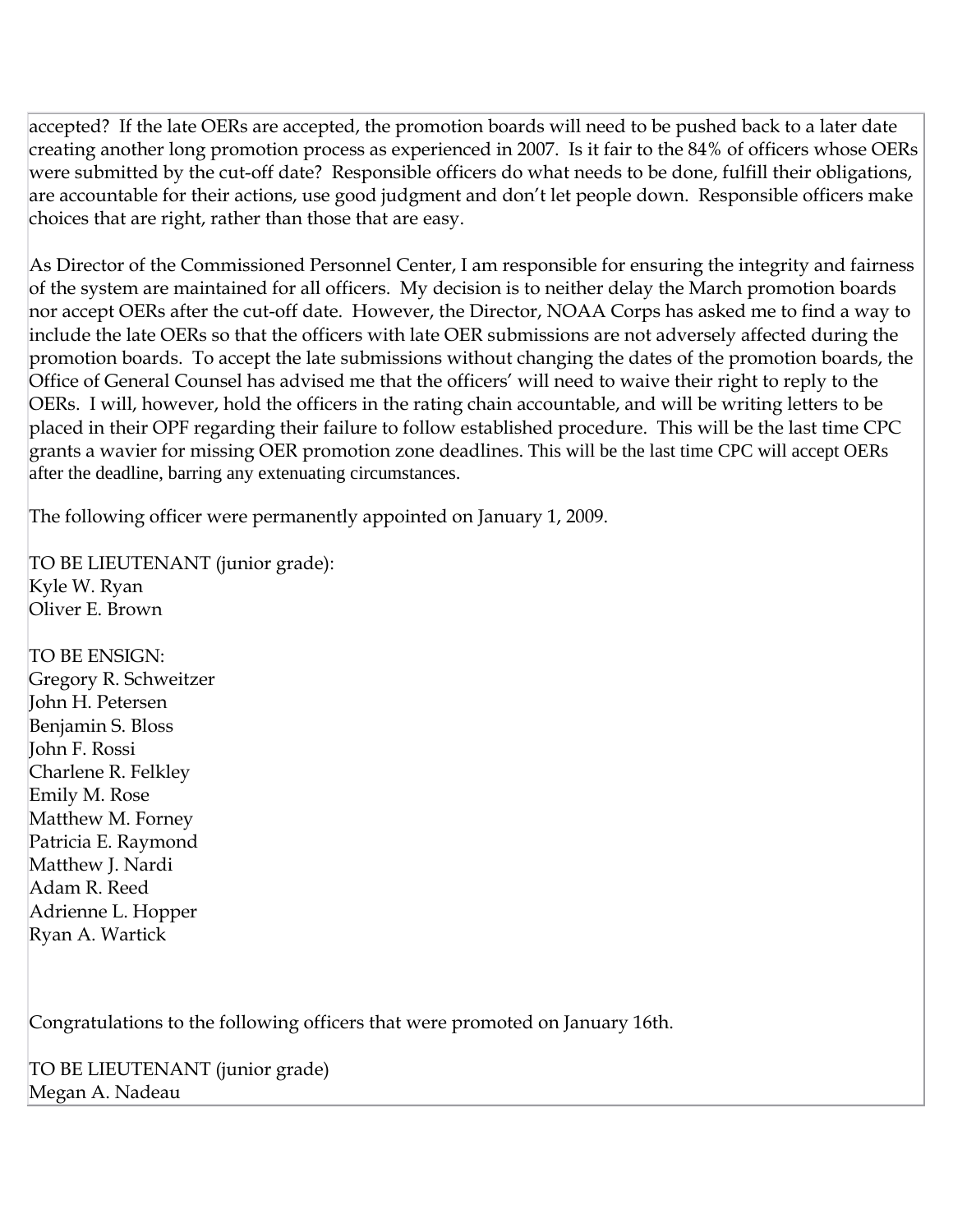accepted? If the late OERs are accepted, the promotion boards will need to be pushed back to a later date creating another long promotion process as experienced in 2007. Is it fair to the 84% of officers whose OERs were submitted by the cut-off date? Responsible officers do what needs to be done, fulfill their obligations, are accountable for their actions, use good judgment and don't let people down. Responsible officers make choices that are right, rather than those that are easy.

As Director of the Commissioned Personnel Center, I am responsible for ensuring the integrity and fairness of the system are maintained for all officers. My decision is to neither delay the March promotion boards nor accept OERs after the cut-off date. However, the Director, NOAA Corps has asked me to find a way to include the late OERs so that the officers with late OER submissions are not adversely affected during the promotion boards. To accept the late submissions without changing the dates of the promotion boards, the Office of General Counsel has advised me that the officers' will need to waive their right to reply to the OERs. I will, however, hold the officers in the rating chain accountable, and will be writing letters to be placed in their OPF regarding their failure to follow established procedure. This will be the last time CPC grants a wavier for missing OER promotion zone deadlines. This will be the last time CPC will accept OERs after the deadline, barring any extenuating circumstances.

The following officer were permanently appointed on January 1, 2009.

TO BE LIEUTENANT (junior grade): Kyle W. Ryan Oliver E. Brown

TO BE ENSIGN: Gregory R. Schweitzer John H. Petersen Benjamin S. Bloss John F. Rossi Charlene R. Felkley Emily M. Rose Matthew M. Forney Patricia E. Raymond Matthew J. Nardi Adam R. Reed Adrienne L. Hopper Ryan A. Wartick

Congratulations to the following officers that were promoted on January 16th.

TO BE LIEUTENANT (junior grade) Megan A. Nadeau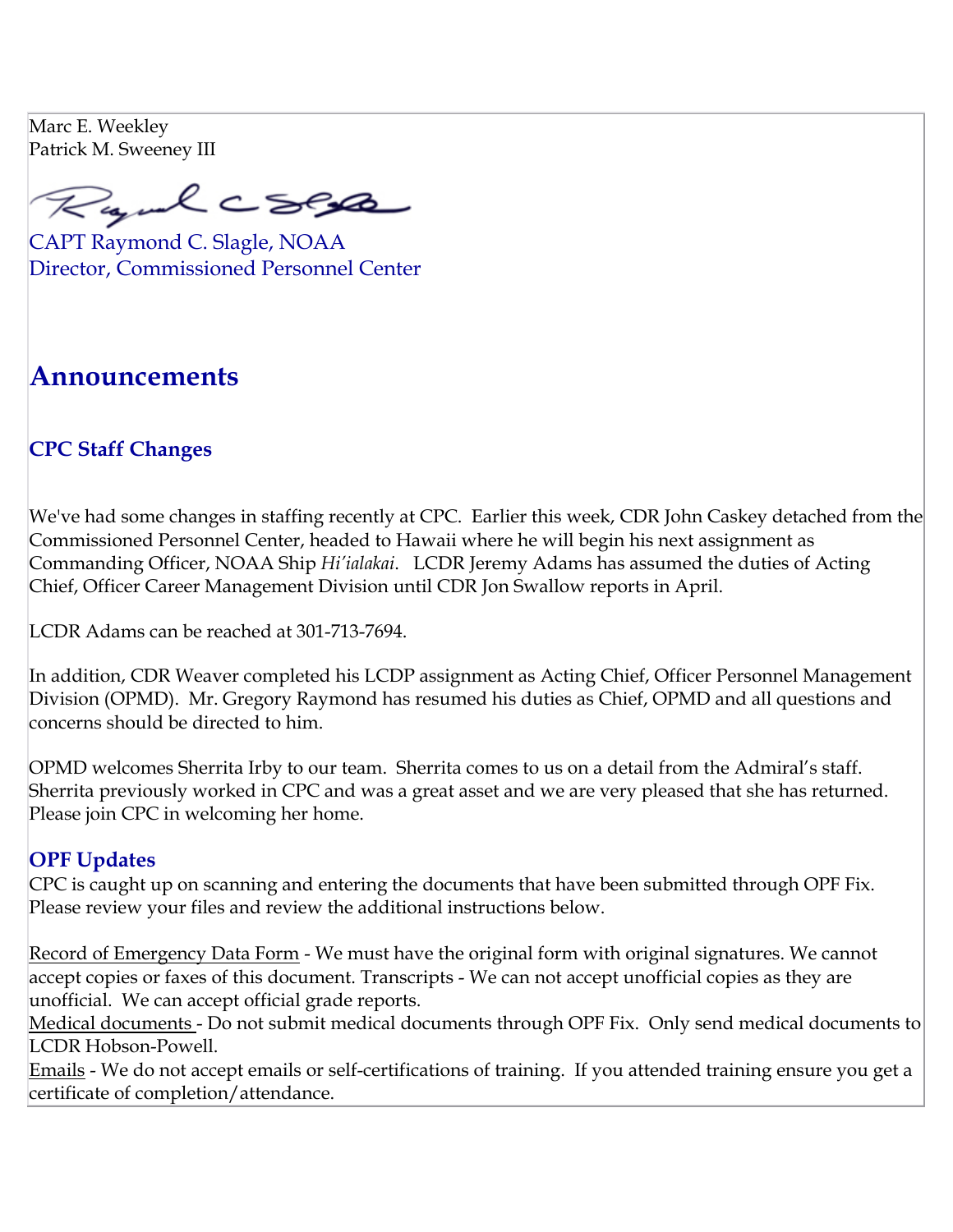Marc E. Weekley Patrick M. Sweeney III

Rayul CSEA

CAPT Raymond C. Slagle, NOAA Director, Commissioned Personnel Center

# **Announcements**

# **CPC Staff Changes**

We've had some changes in staffing recently at CPC. Earlier this week, CDR John Caskey detached from the Commissioned Personnel Center, headed to Hawaii where he will begin his next assignment as Commanding Officer, NOAA Ship *Hi'ialakai*. LCDR Jeremy Adams has assumed the duties of Acting Chief, Officer Career Management Division until CDR Jon Swallow reports in April.

LCDR Adams can be reached at 301-713-7694.

In addition, CDR Weaver completed his LCDP assignment as Acting Chief, Officer Personnel Management Division (OPMD). Mr. Gregory Raymond has resumed his duties as Chief, OPMD and all questions and concerns should be directed to him.

OPMD welcomes Sherrita Irby to our team. Sherrita comes to us on a detail from the Admiral's staff. Sherrita previously worked in CPC and was a great asset and we are very pleased that she has returned. Please join CPC in welcoming her home.

### **OPF Updates**

CPC is caught up on scanning and entering the documents that have been submitted through OPF Fix. Please review your files and review the additional instructions below.

Record of Emergency Data Form - We must have the original form with original signatures. We cannot accept copies or faxes of this document. Transcripts - We can not accept unofficial copies as they are unofficial. We can accept official grade reports.

Medical documents - Do not submit medical documents through OPF Fix. Only send medical documents to LCDR Hobson-Powell.

Emails - We do not accept emails or self-certifications of training. If you attended training ensure you get a certificate of completion/attendance.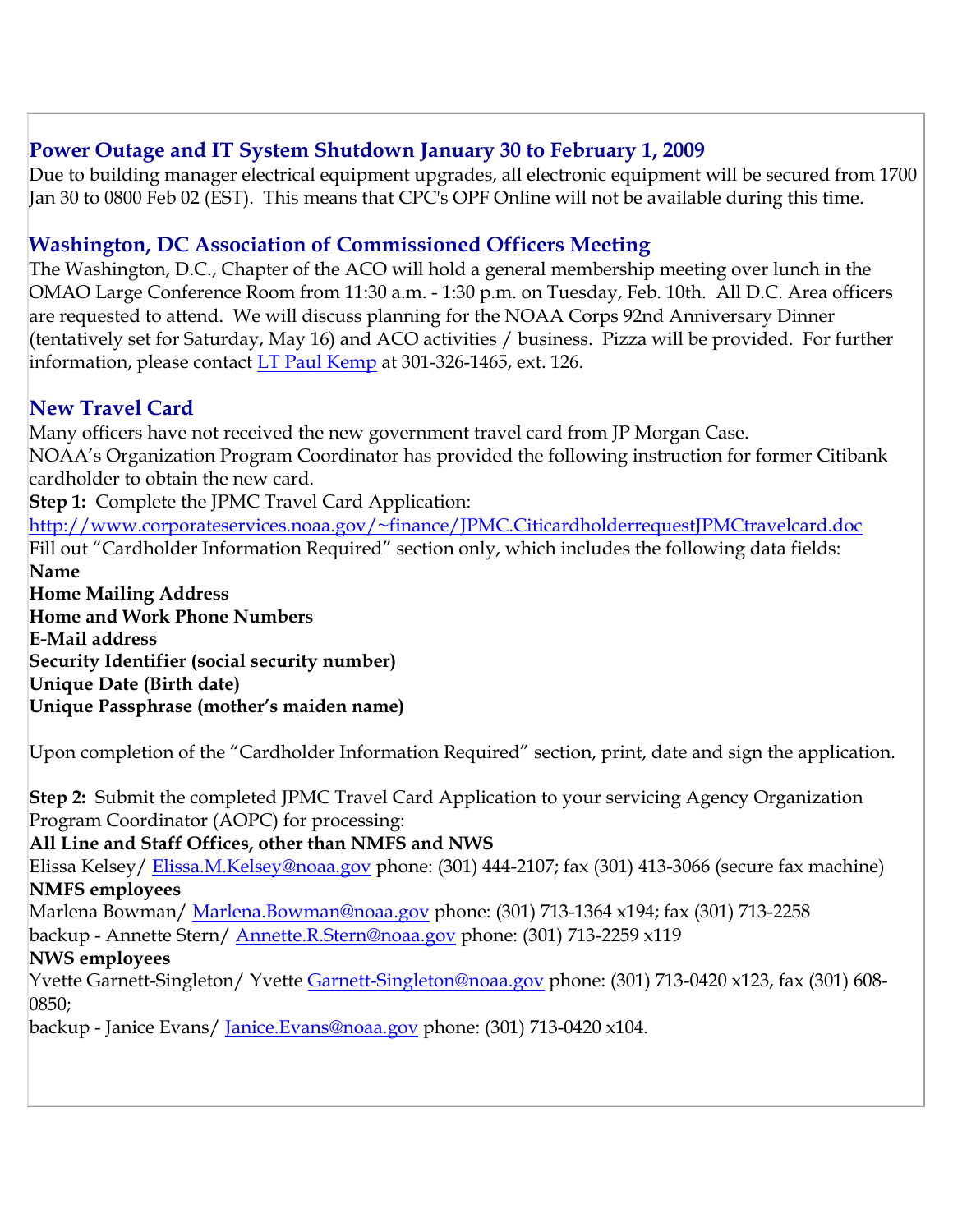## **Power Outage and IT System Shutdown January 30 to February 1, 2009**

Due to building manager electrical equipment upgrades, all electronic equipment will be secured from 1700 Jan 30 to 0800 Feb 02 (EST). This means that CPC's OPF Online will not be available during this time.

# **Washington, DC Association of Commissioned Officers Meeting**

The Washington, D.C., Chapter of the ACO will hold a general membership meeting over lunch in the OMAO Large Conference Room from 11:30 a.m. - 1:30 p.m. on Tuesday, Feb. 10th. All D.C. Area officers are requested to attend. We will discuss planning for the NOAA Corps 92nd Anniversary Dinner (tentatively set for Saturday, May 16) and ACO activities / business. Pizza will be provided. For further information, please contact [LT Paul Kemp](mailto:paul.w.kemp@noaa.gov) at 301-326-1465, ext. 126.

# **New Travel Card**

Many officers have not received the new government travel card from JP Morgan Case. NOAA's Organization Program Coordinator has provided the following instruction for former Citibank cardholder to obtain the new card.

**Step 1:** Complete the JPMC Travel Card Application:

[http://www.corporateservices.noaa.gov/~finance/JPMC.CiticardholderrequestJPMCtravelcard.doc](http://www.corporateservices.noaa.gov/%7Efinance/JPMC.CiticardholderrequestJPMCtravelcard.doc) Fill out "Cardholder Information Required" section only, which includes the following data fields: **Name**

**Home Mailing Address Home and Work Phone Numbers E-Mail address Security Identifier (social security number) Unique Date (Birth date) Unique Passphrase (mother's maiden name)**

Upon completion of the "Cardholder Information Required" section, print, date and sign the application.

**Step 2:** Submit the completed JPMC Travel Card Application to your servicing Agency Organization Program Coordinator (AOPC) for processing:

#### **All Line and Staff Offices, other than NMFS and NWS**

Elissa Kelsey/ [Elissa.M.Kelsey@noaa.gov](mailto:Elissa.M.Kelsey@noaa.gov) phone: (301) 444-2107; fax (301) 413-3066 (secure fax machine) **NMFS employees**

Marlena Bowman/ [Marlena.Bowman@noaa.gov](mailto:Marlena.Bowman@noaa.gov) phone: (301) 713-1364 x194; fax (301) 713-2258

backup - Annette Stern/ [Annette.R.Stern@noaa.gov](mailto:Annette.R.Stern@noaa.gov) phone: (301) 713-2259 x119

#### **NWS employees**

Yvette Garnett-Singleton/Yvette [Garnett-Singleton@noaa.gov](mailto:Garnett-Singleton@noaa.gov) phone: (301) 713-0420 x123, fax (301) 608-0850;

backup - Janice Evans/ [Janice.Evans@noaa.gov](mailto:Janice.Evans@noaa.gov) phone: (301) 713-0420 x104.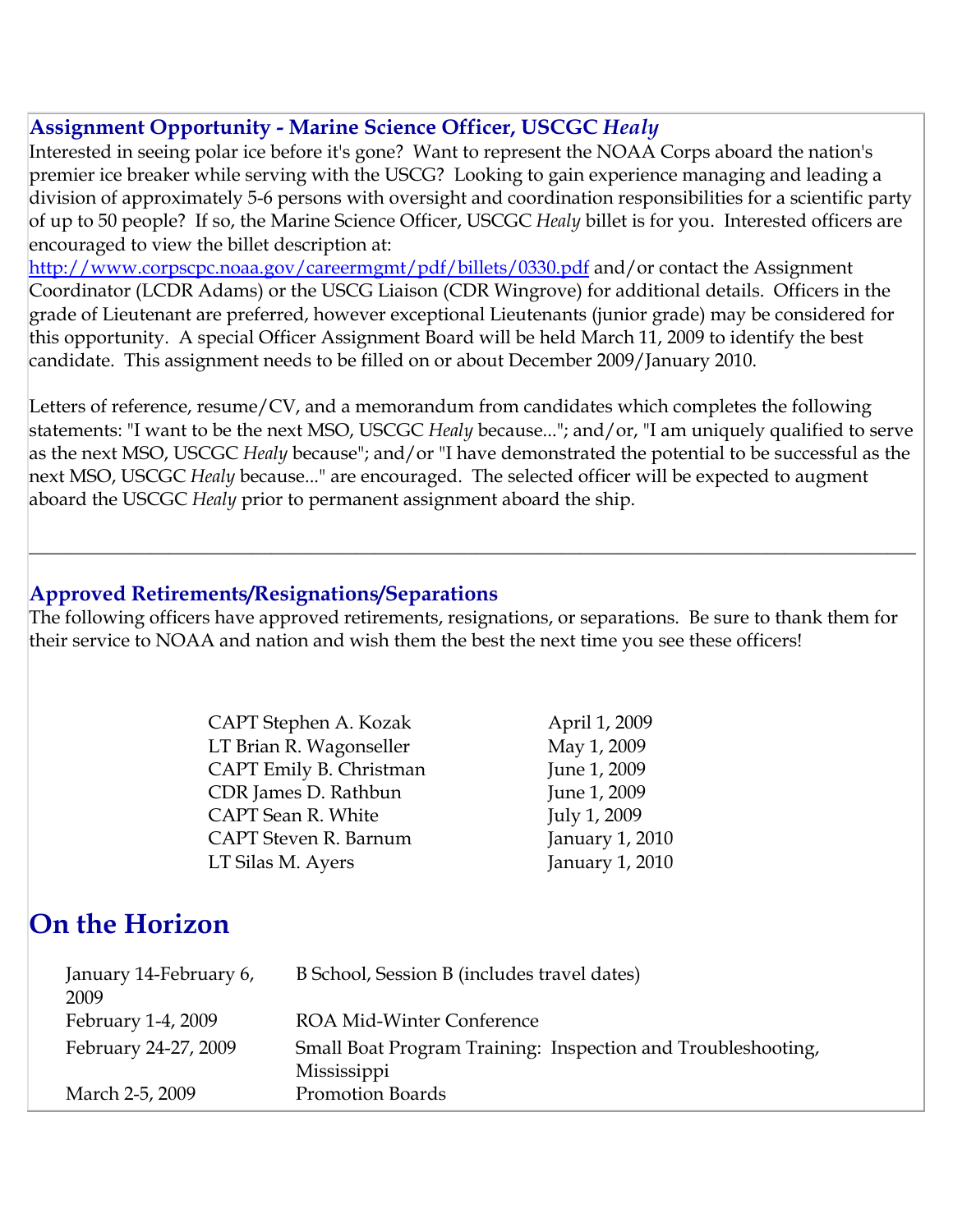## **Assignment Opportunity - Marine Science Officer, USCGC** *Healy*

Interested in seeing polar ice before it's gone? Want to represent the NOAA Corps aboard the nation's premier ice breaker while serving with the USCG? Looking to gain experience managing and leading a division of approximately 5-6 persons with oversight and coordination responsibilities for a scientific party of up to 50 people? If so, the Marine Science Officer, USCGC *Healy* billet is for you. Interested officers are encouraged to view the billet description at:

<http://www.corpscpc.noaa.gov/careermgmt/pdf/billets/0330.pdf>and/or contact the Assignment Coordinator (LCDR Adams) or the USCG Liaison (CDR Wingrove) for additional details. Officers in the grade of Lieutenant are preferred, however exceptional Lieutenants (junior grade) may be considered for this opportunity. A special Officer Assignment Board will be held March 11, 2009 to identify the best candidate. This assignment needs to be filled on or about December 2009/January 2010.

Letters of reference, resume/CV, and a memorandum from candidates which completes the following statements: "I want to be the next MSO, USCGC *Healy* because..."; and/or, "I am uniquely qualified to serve as the next MSO, USCGC *Healy* because"; and/or "I have demonstrated the potential to be successful as the next MSO, USCGC *Healy* because..." are encouraged. The selected officer will be expected to augment aboard the USCGC *Healy* prior to permanent assignment aboard the ship.

 $\overline{\phantom{a}}$  , and the contribution of the contribution of the contribution of the contribution of the contribution of the contribution of the contribution of the contribution of the contribution of the contribution of the

### **Approved Retirements/Resignations/Separations**

The following officers have approved retirements, resignations, or separations. Be sure to thank them for their service to NOAA and nation and wish them the best the next time you see these officers!

| CAPT Stephen A. Kozak   | April 1, 2009   |
|-------------------------|-----------------|
| LT Brian R. Wagonseller | May 1, 2009     |
| CAPT Emily B. Christman | June 1, 2009    |
| CDR James D. Rathbun    | June 1, 2009    |
| CAPT Sean R. White      | July 1, 2009    |
| CAPT Steven R. Barnum   | January 1, 2010 |
| LT Silas M. Ayers       | January 1, 2010 |

# **On the Horizon**

| January 14-February 6,<br>2009 | B School, Session B (includes travel dates)                  |
|--------------------------------|--------------------------------------------------------------|
|                                |                                                              |
| February 1-4, 2009             | ROA Mid-Winter Conference                                    |
| February 24-27, 2009           | Small Boat Program Training: Inspection and Troubleshooting, |
|                                | Mississippi                                                  |
| March 2-5, 2009                | <b>Promotion Boards</b>                                      |